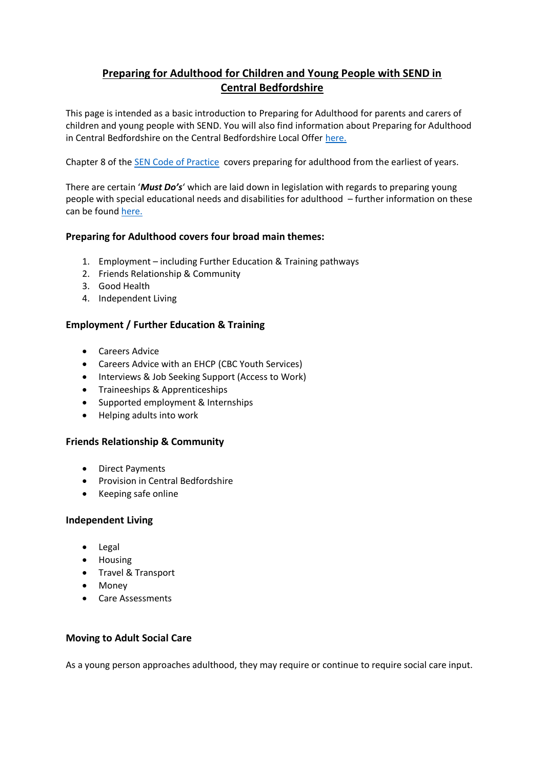# **Preparing for Adulthood for Children and Young People with SEND in Central Bedfordshire**

This page is intended as a basic introduction to Preparing for Adulthood for parents and carers of children and young people with SEND. You will also find information about Preparing for Adulthood in Central Bedfordshire on the Central Bedfordshire Local Offer [here.](https://localoffer.centralbedfordshire.gov.uk/kb5/centralbedfordshire/directory/results.page?qt=Preparing+for+adulthood&sorttype=relevance)

Chapter 8 of the [SEN Code of Practice](https://www.gov.uk/government/publications/send-code-of-practice-0-to-25) covers preparing for adulthood from the earliest of years.

There are certain '*Must Do's*' which are laid down in legislation with regards to preparing young people with special educational needs and disabilities for adulthood – further information on these can be found [here.](https://www.preparingforadulthood.org.uk/SiteAssets/Downloads/40psmvbs637779305340998465.pdf)

# **Preparing for Adulthood covers four broad main themes:**

- 1. Employment including Further Education & Training pathways
- 2. Friends Relationship & Community
- 3. Good Health
- 4. Independent Living

# **Employment / Further Education & Training**

- Careers Advice
- Careers Advice with an EHCP (CBC Youth Services)
- Interviews & Job Seeking Support (Access to Work)
- Traineeships & Apprenticeships
- Supported employment & Internships
- Helping adults into work

### **Friends Relationship & Community**

- Direct Payments
- Provision in Central Bedfordshire
- Keeping safe online

### **Independent Living**

- Legal
- Housing
- Travel & Transport
- Money
- Care Assessments

### **Moving to Adult Social Care**

As a young person approaches adulthood, they may require or continue to require social care input.